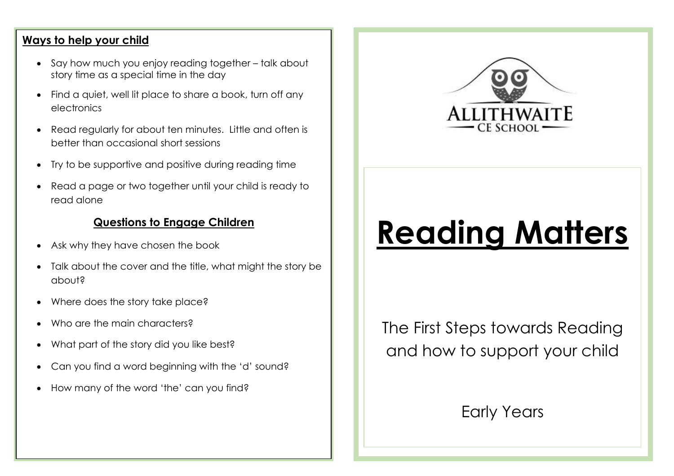### **Ways to help your child**

- Say how much you enjoy reading together talk about story time as a special time in the day
- Find a quiet, well lit place to share a book, turn off any electronics
- Read regularly for about ten minutes. Little and often is better than occasional short sessions
- Try to be supportive and positive during reading time
- Read a page or two together until your child is ready to read alone

## **Questions to Engage Children**

- Ask why they have chosen the book
- Talk about the cover and the title, what might the story be about?
- Where does the story take place?
- Who are the main characters?
- What part of the story did you like best?
- Can you find a word beginning with the 'd' sound?
- How many of the word 'the' can you find?



# **Reading Matters**

The First Steps towards Reading and how to support your child

Early Years